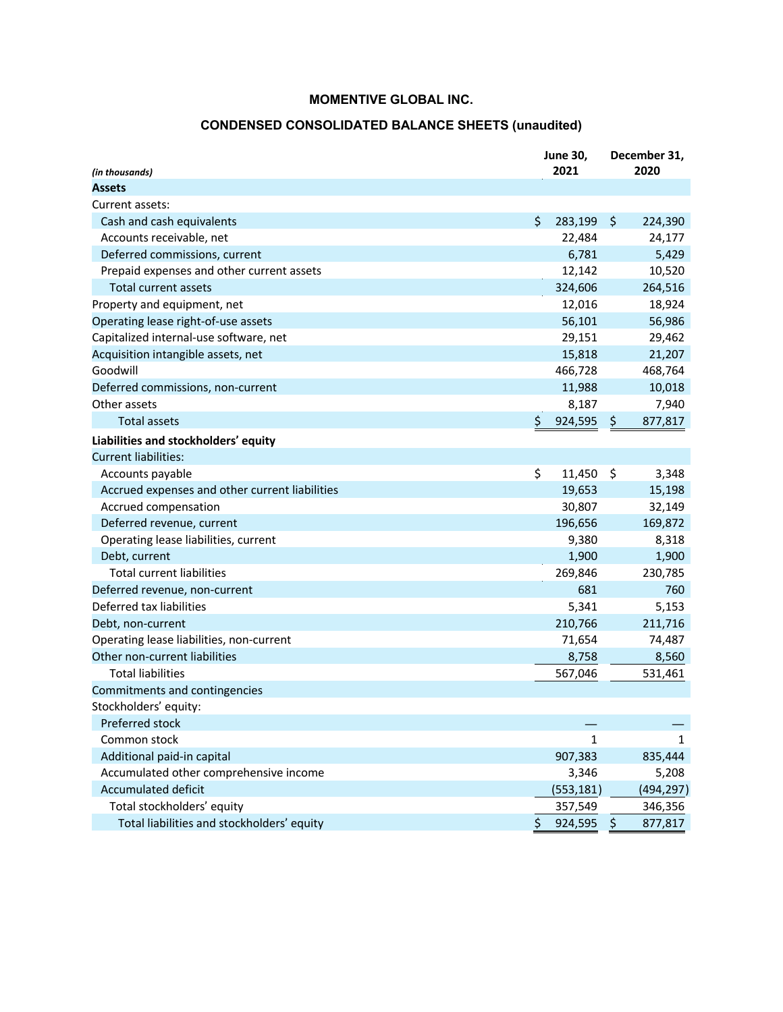## **CONDENSED CONSOLIDATED BALANCE SHEETS (unaudited)**

| (in thousands)                                 | <b>June 30,</b><br>2021 |            |     | December 31,<br>2020 |
|------------------------------------------------|-------------------------|------------|-----|----------------------|
| Assets                                         |                         |            |     |                      |
| Current assets:                                |                         |            |     |                      |
| Cash and cash equivalents                      | \$                      | 283,199    | \$  | 224,390              |
| Accounts receivable, net                       |                         | 22,484     |     | 24,177               |
| Deferred commissions, current                  |                         | 6,781      |     | 5,429                |
| Prepaid expenses and other current assets      |                         | 12,142     |     | 10,520               |
| <b>Total current assets</b>                    |                         | 324,606    |     | 264,516              |
| Property and equipment, net                    |                         | 12,016     |     | 18,924               |
| Operating lease right-of-use assets            |                         | 56,101     |     | 56,986               |
| Capitalized internal-use software, net         |                         | 29,151     |     | 29,462               |
| Acquisition intangible assets, net             |                         | 15,818     |     | 21,207               |
| Goodwill                                       |                         | 466,728    |     | 468,764              |
| Deferred commissions, non-current              |                         | 11,988     |     | 10,018               |
| Other assets                                   |                         | 8,187      |     | 7,940                |
| Total assets                                   | \$                      | 924,595    | \$. | 877,817              |
| Liabilities and stockholders' equity           |                         |            |     |                      |
| <b>Current liabilities:</b>                    |                         |            |     |                      |
| Accounts payable                               | \$                      | 11,450     | \$  | 3,348                |
| Accrued expenses and other current liabilities |                         | 19,653     |     | 15,198               |
| Accrued compensation                           |                         | 30,807     |     | 32,149               |
| Deferred revenue, current                      |                         | 196,656    |     | 169,872              |
| Operating lease liabilities, current           |                         | 9,380      |     | 8,318                |
| Debt, current                                  |                         | 1,900      |     | 1,900                |
| <b>Total current liabilities</b>               |                         | 269,846    |     | 230,785              |
| Deferred revenue, non-current                  |                         | 681        |     | 760                  |
| Deferred tax liabilities                       |                         | 5,341      |     | 5,153                |
| Debt, non-current                              |                         | 210,766    |     | 211,716              |
| Operating lease liabilities, non-current       |                         | 71,654     |     | 74,487               |
| Other non-current liabilities                  |                         | 8,758      |     | 8,560                |
| <b>Total liabilities</b>                       |                         | 567,046    |     | 531,461              |
| Commitments and contingencies                  |                         |            |     |                      |
| Stockholders' equity:                          |                         |            |     |                      |
| Preferred stock                                |                         |            |     |                      |
| Common stock                                   |                         | 1          |     | 1                    |
| Additional paid-in capital                     |                         | 907,383    |     | 835,444              |
| Accumulated other comprehensive income         |                         | 3,346      |     | 5,208                |
| <b>Accumulated deficit</b>                     |                         | (553, 181) |     | (494, 297)           |
| Total stockholders' equity                     |                         | 357,549    |     | 346,356              |
| Total liabilities and stockholders' equity     | \$                      | 924,595    | Ş   | 877,817              |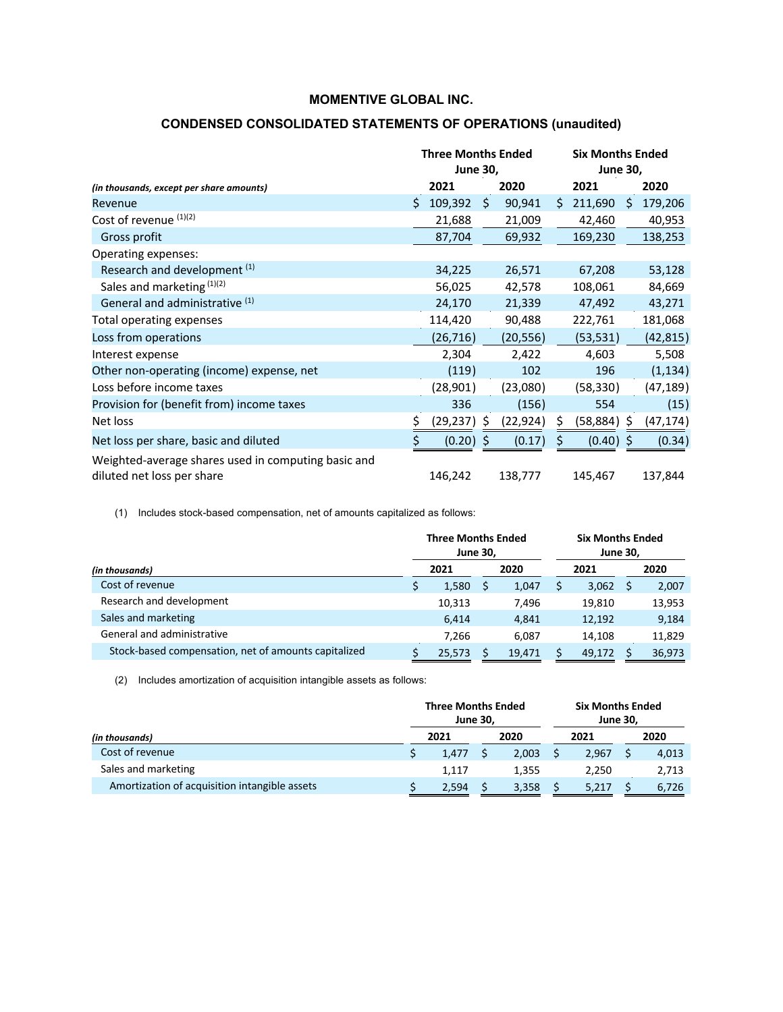|                                                                                   | <b>Three Months Ended</b><br><b>June 30,</b> |             |     |           |    | <b>Six Months Ended</b><br><b>June 30,</b> |    |           |  |
|-----------------------------------------------------------------------------------|----------------------------------------------|-------------|-----|-----------|----|--------------------------------------------|----|-----------|--|
| (in thousands, except per share amounts)                                          |                                              | 2021        |     | 2020      |    | 2021                                       |    | 2020      |  |
| Revenue                                                                           | Ś.                                           | 109,392     | \$. | 90,941    | Ś. | 211,690                                    | Ŝ. | 179,206   |  |
| Cost of revenue (1)(2)                                                            |                                              | 21,688      |     | 21,009    |    | 42,460                                     |    | 40,953    |  |
| Gross profit                                                                      |                                              | 87,704      |     | 69,932    |    | 169,230                                    |    | 138,253   |  |
| Operating expenses:                                                               |                                              |             |     |           |    |                                            |    |           |  |
| Research and development <sup>(1)</sup>                                           |                                              | 34,225      |     | 26,571    |    | 67,208                                     |    | 53,128    |  |
| Sales and marketing $(1)(2)$                                                      |                                              | 56,025      |     | 42,578    |    | 108,061                                    |    | 84,669    |  |
| General and administrative (1)                                                    |                                              | 24,170      |     | 21,339    |    | 47,492                                     |    | 43,271    |  |
| Total operating expenses                                                          |                                              | 114,420     |     | 90,488    |    | 222,761                                    |    | 181,068   |  |
| Loss from operations                                                              |                                              | (26,716)    |     | (20, 556) |    | (53, 531)                                  |    | (42, 815) |  |
| Interest expense                                                                  |                                              | 2,304       |     | 2,422     |    | 4,603                                      |    | 5,508     |  |
| Other non-operating (income) expense, net                                         |                                              | (119)       |     | 102       |    | 196                                        |    | (1, 134)  |  |
| Loss before income taxes                                                          |                                              | (28, 901)   |     | (23,080)  |    | (58, 330)                                  |    | (47, 189) |  |
| Provision for (benefit from) income taxes                                         |                                              | 336         |     | (156)     |    | 554                                        |    | (15)      |  |
| Net loss                                                                          |                                              | (29, 237)   | S   | (22, 924) | Ś  | (58, 884)                                  | S  | (47, 174) |  |
| Net loss per share, basic and diluted                                             | \$                                           | $(0.20)$ \$ |     | (0.17)    |    | (0.40)                                     | Ŝ  | (0.34)    |  |
| Weighted-average shares used in computing basic and<br>diluted net loss per share |                                              | 146,242     |     | 138,777   |    | 145,467                                    |    | 137,844   |  |

## **CONDENSED CONSOLIDATED STATEMENTS OF OPERATIONS (unaudited)**

(1) Includes stock-based compensation, net of amounts capitalized as follows:

|                                                      | <b>Three Months Ended</b><br><b>June 30,</b> |        | <b>Six Months Ended</b><br><b>June 30,</b> |        |  |        |  |
|------------------------------------------------------|----------------------------------------------|--------|--------------------------------------------|--------|--|--------|--|
| (in thousands)                                       | 2021                                         | 2020   |                                            | 2021   |  | 2020   |  |
| Cost of revenue                                      | 1,580                                        | 1,047  |                                            | 3,062  |  | 2,007  |  |
| Research and development                             | 10.313                                       | 7.496  |                                            | 19.810 |  | 13,953 |  |
| Sales and marketing                                  | 6.414                                        | 4,841  |                                            | 12,192 |  | 9,184  |  |
| General and administrative                           | 7,266                                        | 6,087  |                                            | 14,108 |  | 11,829 |  |
| Stock-based compensation, net of amounts capitalized | 25,573                                       | 19.471 |                                            | 49.172 |  | 36,973 |  |

(2) Includes amortization of acquisition intangible assets as follows:

|                                               | <b>Three Months Ended</b><br><b>June 30,</b> |       |  |       | <b>Six Months Ended</b><br><b>June 30,</b> |       |  |       |
|-----------------------------------------------|----------------------------------------------|-------|--|-------|--------------------------------------------|-------|--|-------|
| (in thousands)                                |                                              | 2021  |  | 2020  |                                            | 2021  |  | 2020  |
| Cost of revenue                               |                                              | 1.477 |  | 2,003 |                                            | 2,967 |  | 4,013 |
| Sales and marketing                           |                                              | 1,117 |  | 1,355 |                                            | 2.250 |  | 2,713 |
| Amortization of acquisition intangible assets |                                              | 2.594 |  | 3.358 |                                            | 5,217 |  | 6,726 |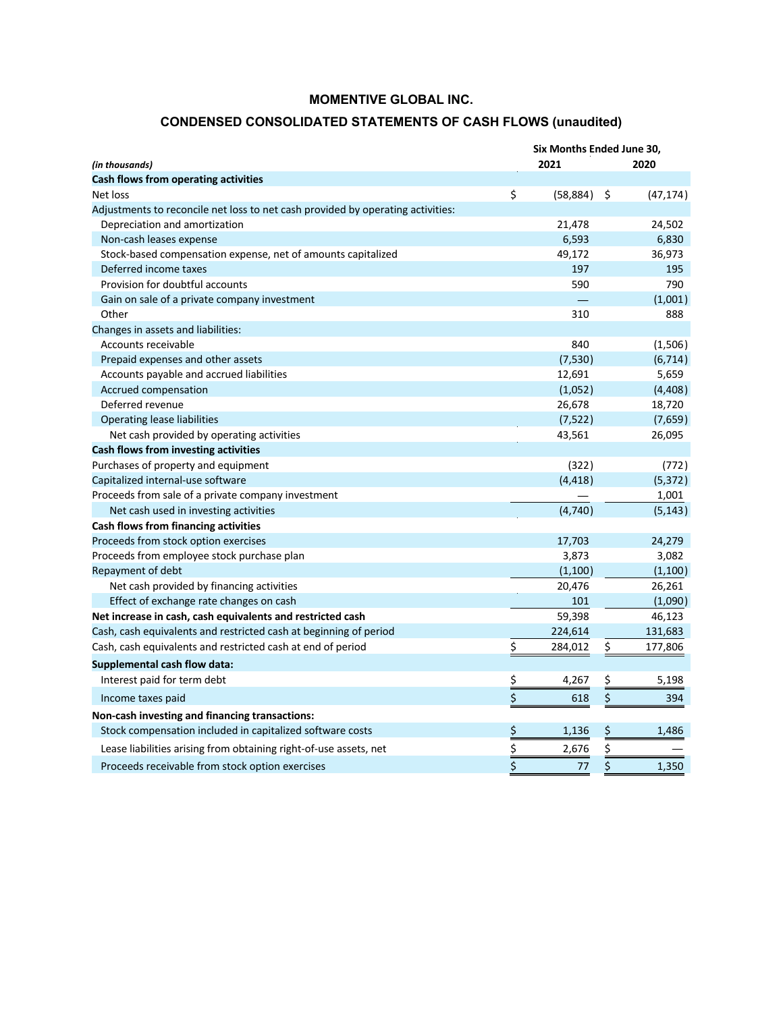## **CONDENSED CONSOLIDATED STATEMENTS OF CASH FLOWS (unaudited)**

|                                                                                 | Six Months Ended June 30, |           |    |           |  |  |  |  |  |
|---------------------------------------------------------------------------------|---------------------------|-----------|----|-----------|--|--|--|--|--|
| (in thousands)                                                                  |                           | 2021      |    | 2020      |  |  |  |  |  |
| Cash flows from operating activities                                            |                           |           |    |           |  |  |  |  |  |
| Net loss                                                                        | \$                        | (58, 884) | \$ | (47, 174) |  |  |  |  |  |
| Adjustments to reconcile net loss to net cash provided by operating activities: |                           |           |    |           |  |  |  |  |  |
| Depreciation and amortization                                                   |                           | 21,478    |    | 24,502    |  |  |  |  |  |
| Non-cash leases expense                                                         |                           | 6,593     |    | 6,830     |  |  |  |  |  |
| Stock-based compensation expense, net of amounts capitalized                    |                           | 49,172    |    | 36,973    |  |  |  |  |  |
| Deferred income taxes                                                           |                           | 197       |    | 195       |  |  |  |  |  |
| Provision for doubtful accounts                                                 |                           | 590       |    | 790       |  |  |  |  |  |
| Gain on sale of a private company investment                                    |                           |           |    | (1,001)   |  |  |  |  |  |
| Other                                                                           |                           | 310       |    | 888       |  |  |  |  |  |
| Changes in assets and liabilities:                                              |                           |           |    |           |  |  |  |  |  |
| Accounts receivable                                                             |                           | 840       |    | (1,506)   |  |  |  |  |  |
| Prepaid expenses and other assets                                               |                           | (7,530)   |    | (6, 714)  |  |  |  |  |  |
| Accounts payable and accrued liabilities                                        |                           | 12,691    |    | 5,659     |  |  |  |  |  |
| Accrued compensation                                                            |                           | (1,052)   |    | (4,408)   |  |  |  |  |  |
| Deferred revenue                                                                |                           | 26,678    |    | 18,720    |  |  |  |  |  |
| Operating lease liabilities                                                     |                           | (7, 522)  |    | (7,659)   |  |  |  |  |  |
| Net cash provided by operating activities                                       |                           | 43,561    |    | 26,095    |  |  |  |  |  |
| Cash flows from investing activities                                            |                           |           |    |           |  |  |  |  |  |
| Purchases of property and equipment                                             |                           | (322)     |    | (772)     |  |  |  |  |  |
| Capitalized internal-use software                                               |                           | (4, 418)  |    | (5, 372)  |  |  |  |  |  |
| Proceeds from sale of a private company investment                              |                           |           |    | 1,001     |  |  |  |  |  |
| Net cash used in investing activities                                           |                           | (4,740)   |    | (5, 143)  |  |  |  |  |  |
| Cash flows from financing activities                                            |                           |           |    |           |  |  |  |  |  |
| Proceeds from stock option exercises                                            |                           | 17,703    |    | 24,279    |  |  |  |  |  |
| Proceeds from employee stock purchase plan                                      |                           | 3,873     |    | 3,082     |  |  |  |  |  |
| Repayment of debt                                                               |                           | (1,100)   |    | (1,100)   |  |  |  |  |  |
| Net cash provided by financing activities                                       |                           | 20,476    |    | 26,261    |  |  |  |  |  |
| Effect of exchange rate changes on cash                                         |                           | 101       |    | (1,090)   |  |  |  |  |  |
| Net increase in cash, cash equivalents and restricted cash                      |                           | 59,398    |    | 46,123    |  |  |  |  |  |
| Cash, cash equivalents and restricted cash at beginning of period               |                           | 224,614   |    | 131,683   |  |  |  |  |  |
| Cash, cash equivalents and restricted cash at end of period                     | \$                        | 284,012   | \$ | 177,806   |  |  |  |  |  |
| <b>Supplemental cash flow data:</b>                                             |                           |           |    |           |  |  |  |  |  |
| Interest paid for term debt                                                     | \$                        | 4,267     | \$ | 5,198     |  |  |  |  |  |
| Income taxes paid                                                               | \$                        | 618       | \$ | 394       |  |  |  |  |  |
| Non-cash investing and financing transactions:                                  |                           |           |    |           |  |  |  |  |  |
| Stock compensation included in capitalized software costs                       | \$                        | 1,136     | \$ | 1,486     |  |  |  |  |  |
|                                                                                 |                           |           |    |           |  |  |  |  |  |
| Lease liabilities arising from obtaining right-of-use assets, net               | \$                        | 2,676     | \$ |           |  |  |  |  |  |
| Proceeds receivable from stock option exercises                                 | \$                        | 77        | \$ | 1,350     |  |  |  |  |  |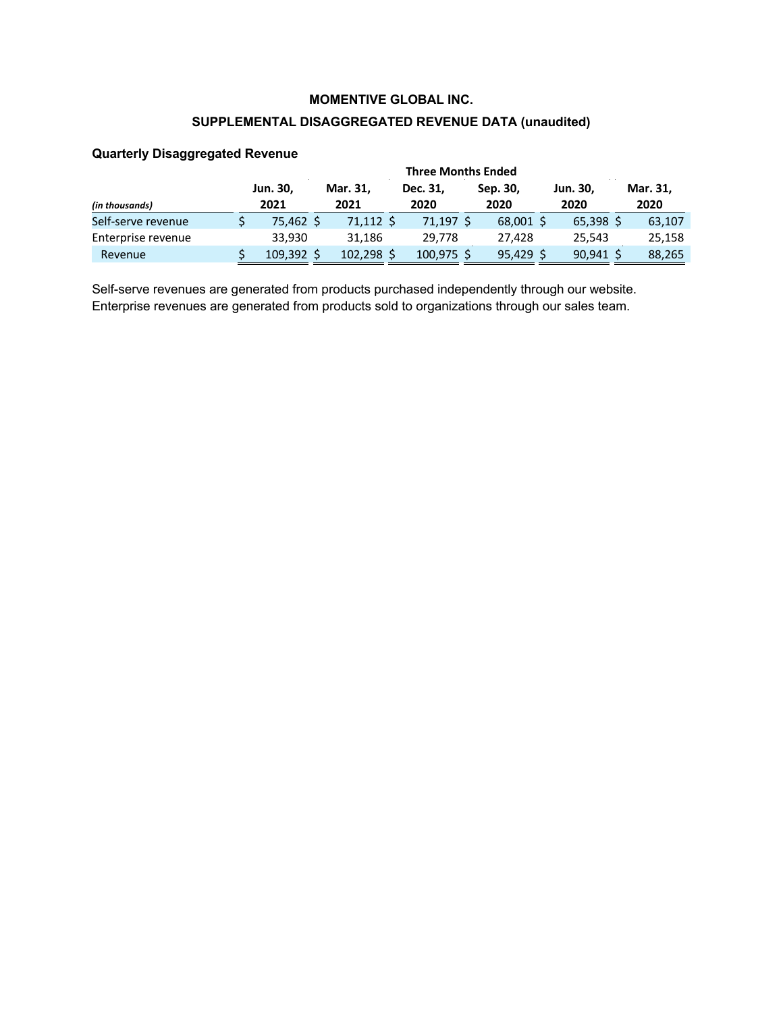## **SUPPLEMENTAL DISAGGREGATED REVENUE DATA (unaudited)**

|                    | <b>Three Months Ended</b> |  |                  |  |                  |  |                  |  |                         |  |                  |  |  |
|--------------------|---------------------------|--|------------------|--|------------------|--|------------------|--|-------------------------|--|------------------|--|--|
| (in thousands)     | Jun. 30,<br>2021          |  | Mar. 31,<br>2021 |  | Dec. 31,<br>2020 |  | Sep. 30,<br>2020 |  | <b>Jun. 30,</b><br>2020 |  | Mar. 31,<br>2020 |  |  |
| Self-serve revenue | 75,462 \$                 |  | 71,112 \$        |  | 71,197 \$        |  | 68,001 \$        |  | $65,398$ \$             |  | 63,107           |  |  |
| Enterprise revenue | 33.930                    |  | 31.186           |  | 29.778           |  | 27.428           |  | 25,543                  |  | 25,158           |  |  |
| Revenue            | $109,392$ \$              |  | $102,298$ \$     |  | $100,975$ \$     |  | $95,429$ \$      |  | $90,941$ \$             |  | 88,265           |  |  |

#### **Quarterly Disaggregated Revenue**

Self-serve revenues are generated from products purchased independently through our website. Enterprise revenues are generated from products sold to organizations through our sales team.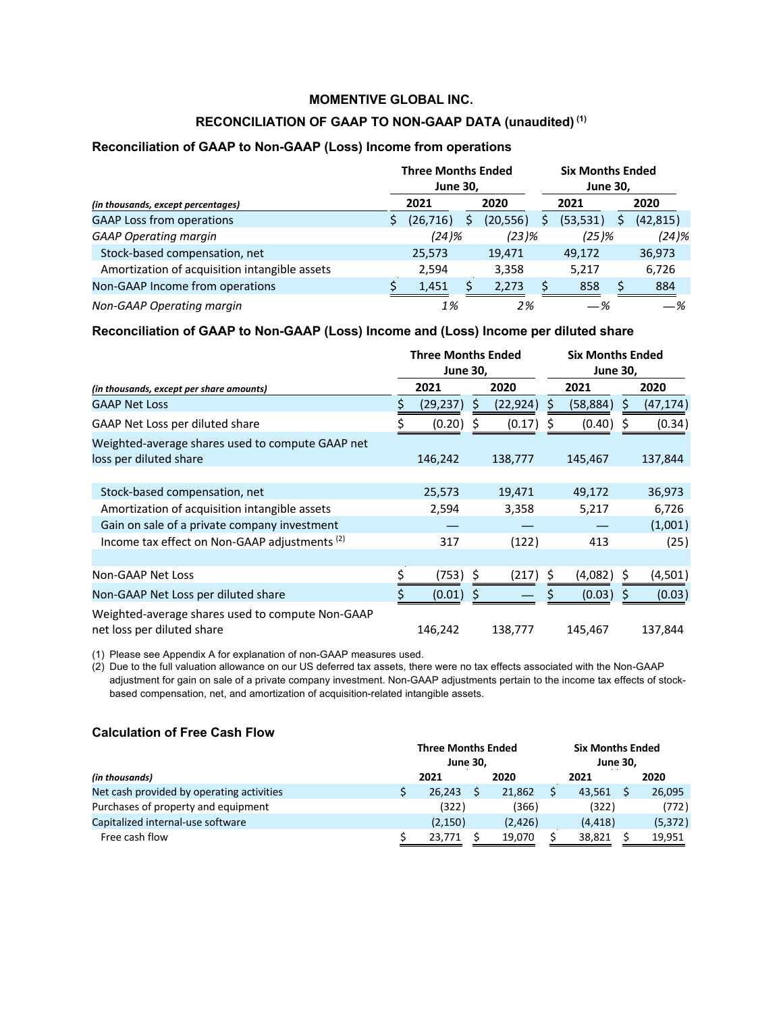### **RECONCILIATION OF GAAP TO NON-GAAP DATA (unaudited) (1)**

#### **Reconciliation of GAAP to Non-GAAP (Loss) Income from operations**

|                                               | <b>Three Months Ended</b><br><b>June 30,</b> |   |           | <b>Six Months Ended</b><br><b>June 30,</b> |   |           |  |
|-----------------------------------------------|----------------------------------------------|---|-----------|--------------------------------------------|---|-----------|--|
| (in thousands, except percentages)            | 2021                                         |   | 2020      | 2021                                       |   | 2020      |  |
| <b>GAAP Loss from operations</b>              | (26, 716)                                    | S | (20, 556) | (53, 531)                                  | S | (42, 815) |  |
| <b>GAAP Operating margin</b>                  | (24)%                                        |   | $(23)$ %  | $(25)$ %                                   |   | (24)%     |  |
| Stock-based compensation, net                 | 25,573                                       |   | 19,471    | 49,172                                     |   | 36,973    |  |
| Amortization of acquisition intangible assets | 2,594                                        |   | 3,358     | 5,217                                      |   | 6,726     |  |
| Non-GAAP Income from operations               | 1,451                                        |   | 2,273     | 858                                        |   | 884       |  |
| Non-GAAP Operating margin                     | 1%                                           |   | 2%        | —%                                         |   | —%        |  |

#### **Reconciliation of GAAP to Non-GAAP (Loss) Income and (Loss) Income per diluted share**

|                                                                                | <b>Six Months Ended</b><br><b>June 30,</b> |    |           |   |           |    |           |
|--------------------------------------------------------------------------------|--------------------------------------------|----|-----------|---|-----------|----|-----------|
| (in thousands, except per share amounts)                                       | 2021                                       |    | 2020      |   | 2021      |    | 2020      |
| <b>GAAP Net Loss</b>                                                           | \$<br>(29, 237)                            | \$ | (22, 924) | S | (58, 884) | \$ | (47, 174) |
| GAAP Net Loss per diluted share                                                | (0.20)                                     | \$ | (0.17)    |   | (0.40)    |    | (0.34)    |
| Weighted-average shares used to compute GAAP net<br>loss per diluted share     | 146,242                                    |    | 138,777   |   | 145,467   |    | 137,844   |
| Stock-based compensation, net                                                  | 25,573                                     |    | 19,471    |   | 49,172    |    | 36,973    |
| Amortization of acquisition intangible assets                                  | 2,594                                      |    | 3,358     |   | 5,217     |    | 6,726     |
| Gain on sale of a private company investment                                   |                                            |    |           |   |           |    | (1,001)   |
| Income tax effect on Non-GAAP adjustments (2)                                  | 317                                        |    | (122)     |   | 413       |    | (25)      |
|                                                                                |                                            |    |           |   |           |    |           |
| Non-GAAP Net Loss                                                              | (753)                                      | \$ | (217)     |   | (4,082)   |    | (4,501)   |
| Non-GAAP Net Loss per diluted share                                            | (0.01)                                     | S  |           |   | (0.03)    |    | (0.03)    |
| Weighted-average shares used to compute Non-GAAP<br>net loss per diluted share | 146,242                                    |    | 138,777   |   | 145,467   |    | 137,844   |

(1) Please see Appendix A for explanation of non-GAAP measures used.

(2) Due to the full valuation allowance on our US deferred tax assets, there were no tax effects associated with the Non-GAAP adjustment for gain on sale of a private company investment. Non-GAAP adjustments pertain to the income tax effects of stockbased compensation, net, and amortization of acquisition-related intangible assets.

#### **Calculation of Free Cash Flow**

|          |          | <b>Six Months Ended</b><br><b>June 30.</b>   |          |  |          |  |
|----------|----------|----------------------------------------------|----------|--|----------|--|
| 2021     | 2020     |                                              | 2021     |  | 2020     |  |
| 26.243   | 21,862   |                                              | 43,561   |  | 26,095   |  |
| (322)    | (366)    |                                              | (322)    |  | (772)    |  |
| (2, 150) | (2, 426) |                                              | (4, 418) |  | (5, 372) |  |
| 23.771   | 19,070   |                                              | 38.821   |  | 19,951   |  |
|          |          | <b>Three Months Ended</b><br><b>June 30.</b> |          |  |          |  |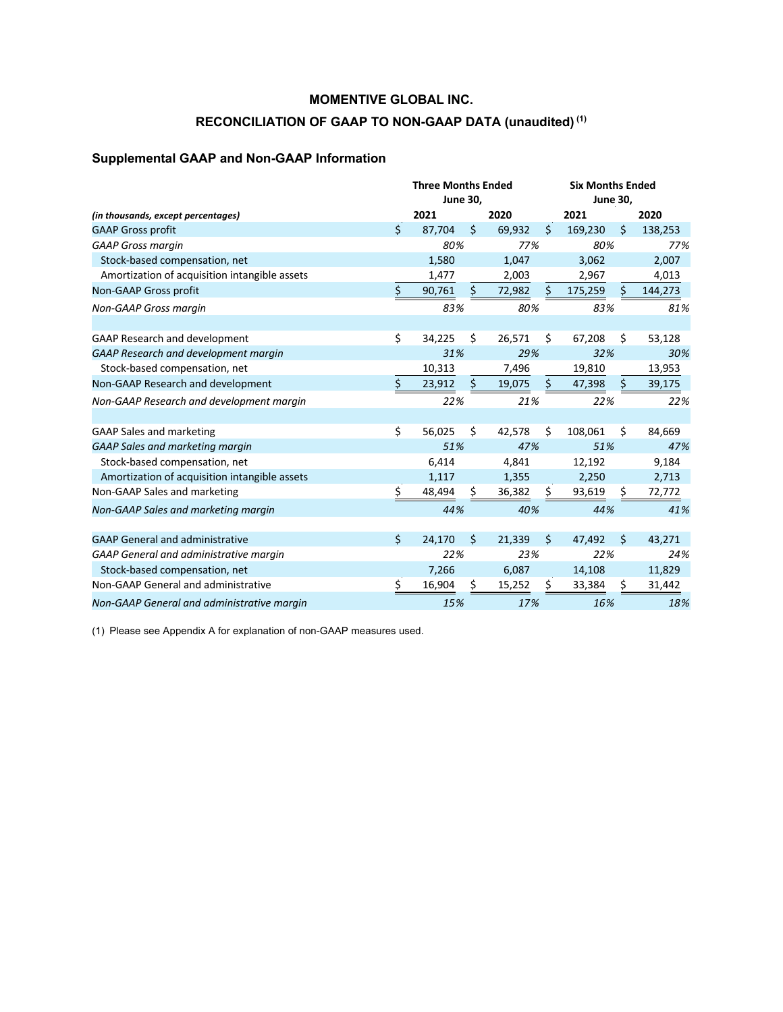## **RECONCILIATION OF GAAP TO NON-GAAP DATA (unaudited) (1)**

# **Supplemental GAAP and Non-GAAP Information**

|                                               |    | <b>Three Months Ended</b> | June 30, |        |     | <b>Six Months Ended</b><br><b>June 30,</b> |    |         |
|-----------------------------------------------|----|---------------------------|----------|--------|-----|--------------------------------------------|----|---------|
| (in thousands, except percentages)            |    | 2021                      |          | 2020   |     | 2021                                       |    | 2020    |
| <b>GAAP Gross profit</b>                      | \$ | 87,704                    | \$       | 69,932 | \$  | 169,230                                    | \$ | 138,253 |
| <b>GAAP Gross margin</b>                      |    | 80%                       |          | 77%    |     | 80%                                        |    | 77%     |
| Stock-based compensation, net                 |    | 1,580                     |          | 1,047  |     | 3,062                                      |    | 2,007   |
| Amortization of acquisition intangible assets |    | 1,477                     |          | 2,003  |     | 2,967                                      |    | 4,013   |
| Non-GAAP Gross profit                         | \$ | 90,761                    | \$.      | 72,982 | \$. | 175,259                                    | \$ | 144,273 |
| <b>Non-GAAP Gross margin</b>                  |    | 83%                       |          | 80%    |     | 83%                                        |    | 81%     |
| GAAP Research and development                 | \$ | 34,225                    | Ś.       | 26,571 | \$  | 67,208                                     | \$ | 53,128  |
| GAAP Research and development margin          |    | 31%                       |          | 29%    |     | 32%                                        |    | 30%     |
| Stock-based compensation, net                 |    | 10,313                    |          | 7,496  |     | 19,810                                     |    | 13,953  |
| Non-GAAP Research and development             | \$ | 23,912                    | \$       | 19,075 | \$  | 47,398                                     | Ŝ. | 39,175  |
| Non-GAAP Research and development margin      |    | 22%                       |          | 21%    |     | 22%                                        |    | 22%     |
| <b>GAAP Sales and marketing</b>               | \$ | 56,025                    | Ś.       | 42,578 | Ś.  | 108,061                                    | Ś. | 84,669  |
| <b>GAAP Sales and marketing margin</b>        |    | 51%                       |          | 47%    |     | 51%                                        |    | 47%     |
| Stock-based compensation, net                 |    | 6,414                     |          | 4,841  |     | 12,192                                     |    | 9,184   |
| Amortization of acquisition intangible assets |    | 1,117                     |          | 1,355  |     | 2,250                                      |    | 2,713   |
| Non-GAAP Sales and marketing                  | \$ | 48,494                    | \$.      | 36,382 | \$  | 93,619                                     | \$ | 72,772  |
| Non-GAAP Sales and marketing margin           |    | 44%                       |          | 40%    |     | 44%                                        |    | 41%     |
| <b>GAAP General and administrative</b>        | Ś. | 24,170                    | \$       | 21,339 | \$  | 47,492                                     | Ŝ. | 43,271  |
| GAAP General and administrative margin        |    | 22%                       |          | 23%    |     | 22%                                        |    | 24%     |
| Stock-based compensation, net                 |    | 7,266                     |          | 6,087  |     | 14,108                                     |    | 11,829  |
| Non-GAAP General and administrative           | \$ | 16,904                    | \$       | 15,252 | S   | 33,384                                     | \$ | 31,442  |
| Non-GAAP General and administrative margin    |    | 15%                       |          | 17%    |     | 16%                                        |    | 18%     |

(1) Please see Appendix A for explanation of non-GAAP measures used.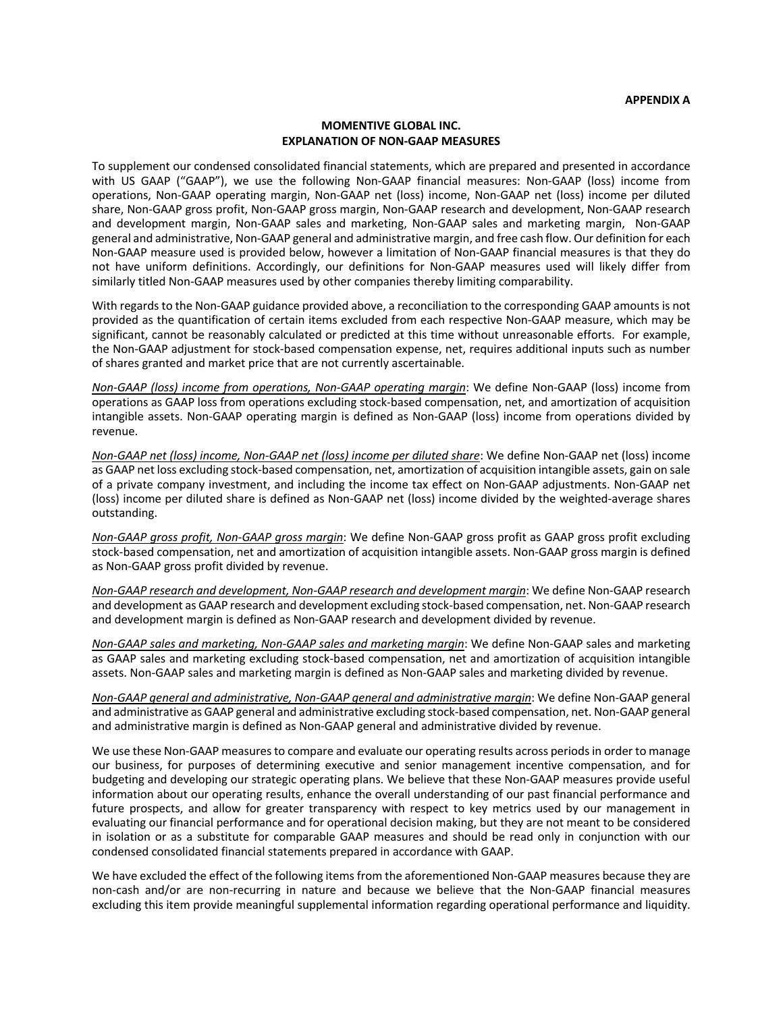#### **MOMENTIVE GLOBAL INC. EXPLANATION OF NON-GAAP MEASURES**

To supplement our condensed consolidated financial statements, which are prepared and presented in accordance with US GAAP ("GAAP"), we use the following Non-GAAP financial measures: Non-GAAP (loss) income from operations, Non-GAAP operating margin, Non-GAAP net (loss) income, Non-GAAP net (loss) income per diluted share, Non-GAAP gross profit, Non-GAAP gross margin, Non-GAAP research and development, Non-GAAP research and development margin, Non-GAAP sales and marketing, Non-GAAP sales and marketing margin, Non-GAAP general and administrative, Non-GAAP general and administrative margin, and free cash flow. Our definition for each Non-GAAP measure used is provided below, however a limitation of Non-GAAP financial measures is that they do not have uniform definitions. Accordingly, our definitions for Non-GAAP measures used will likely differ from similarly titled Non-GAAP measures used by other companies thereby limiting comparability.

With regards to the Non-GAAP guidance provided above, a reconciliation to the corresponding GAAP amounts is not provided as the quantification of certain items excluded from each respective Non-GAAP measure, which may be significant, cannot be reasonably calculated or predicted at this time without unreasonable efforts. For example, the Non-GAAP adjustment for stock-based compensation expense, net, requires additional inputs such as number of shares granted and market price that are not currently ascertainable.

*Non-GAAP (loss) income from operations, Non-GAAP operating margin*: We define Non-GAAP (loss) income from operations as GAAP loss from operations excluding stock-based compensation, net, and amortization of acquisition intangible assets. Non-GAAP operating margin is defined as Non-GAAP (loss) income from operations divided by revenue.

*Non-GAAP net (loss) income, Non-GAAP net (loss) income per diluted share*: We define Non-GAAP net (loss) income as GAAP net loss excluding stock-based compensation, net, amortization of acquisition intangible assets, gain on sale of a private company investment, and including the income tax effect on Non-GAAP adjustments. Non-GAAP net (loss) income per diluted share is defined as Non-GAAP net (loss) income divided by the weighted-average shares outstanding.

*Non-GAAP gross profit, Non-GAAP gross margin*: We define Non-GAAP gross profit as GAAP gross profit excluding stock-based compensation, net and amortization of acquisition intangible assets. Non-GAAP gross margin is defined as Non-GAAP gross profit divided by revenue.

*Non-GAAP research and development, Non-GAAP research and development margin*: We define Non-GAAP research and development as GAAP research and development excluding stock-based compensation, net. Non-GAAP research and development margin is defined as Non-GAAP research and development divided by revenue.

*Non-GAAP sales and marketing, Non-GAAP sales and marketing margin*: We define Non-GAAP sales and marketing as GAAP sales and marketing excluding stock-based compensation, net and amortization of acquisition intangible assets. Non-GAAP sales and marketing margin is defined as Non-GAAP sales and marketing divided by revenue.

*Non-GAAP general and administrative, Non-GAAP general and administrative margin*: We define Non-GAAP general and administrative as GAAP general and administrative excluding stock-based compensation, net. Non-GAAP general and administrative margin is defined as Non-GAAP general and administrative divided by revenue.

We use these Non-GAAP measures to compare and evaluate our operating results across periods in order to manage our business, for purposes of determining executive and senior management incentive compensation, and for budgeting and developing our strategic operating plans. We believe that these Non-GAAP measures provide useful information about our operating results, enhance the overall understanding of our past financial performance and future prospects, and allow for greater transparency with respect to key metrics used by our management in evaluating our financial performance and for operational decision making, but they are not meant to be considered in isolation or as a substitute for comparable GAAP measures and should be read only in conjunction with our condensed consolidated financial statements prepared in accordance with GAAP.

We have excluded the effect of the following items from the aforementioned Non-GAAP measures because they are non-cash and/or are non-recurring in nature and because we believe that the Non-GAAP financial measures excluding this item provide meaningful supplemental information regarding operational performance and liquidity.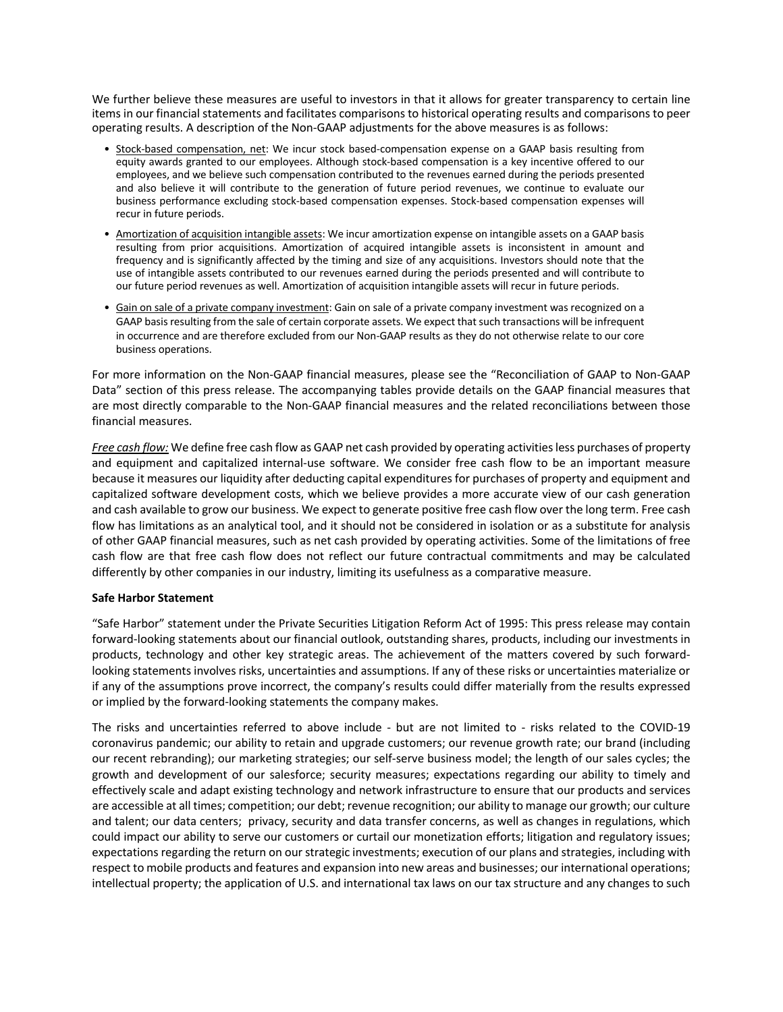We further believe these measures are useful to investors in that it allows for greater transparency to certain line items in our financial statements and facilitates comparisons to historical operating results and comparisons to peer operating results. A description of the Non-GAAP adjustments for the above measures is as follows:

- Stock-based compensation, net: We incur stock based-compensation expense on a GAAP basis resulting from equity awards granted to our employees. Although stock-based compensation is a key incentive offered to our employees, and we believe such compensation contributed to the revenues earned during the periods presented and also believe it will contribute to the generation of future period revenues, we continue to evaluate our business performance excluding stock-based compensation expenses. Stock-based compensation expenses will recur in future periods.
- Amortization of acquisition intangible assets: We incur amortization expense on intangible assets on a GAAP basis resulting from prior acquisitions. Amortization of acquired intangible assets is inconsistent in amount and frequency and is significantly affected by the timing and size of any acquisitions. Investors should note that the use of intangible assets contributed to our revenues earned during the periods presented and will contribute to our future period revenues as well. Amortization of acquisition intangible assets will recur in future periods.
- Gain on sale of a private company investment: Gain on sale of a private company investment was recognized on a GAAP basis resulting from the sale of certain corporate assets. We expect that such transactions will be infrequent in occurrence and are therefore excluded from our Non-GAAP results as they do not otherwise relate to our core business operations.

For more information on the Non-GAAP financial measures, please see the "Reconciliation of GAAP to Non-GAAP Data" section of this press release. The accompanying tables provide details on the GAAP financial measures that are most directly comparable to the Non-GAAP financial measures and the related reconciliations between those financial measures.

*Free cash flow:* We define free cash flow as GAAP net cash provided by operating activities less purchases of property and equipment and capitalized internal-use software. We consider free cash flow to be an important measure because it measures our liquidity after deducting capital expenditures for purchases of property and equipment and capitalized software development costs, which we believe provides a more accurate view of our cash generation and cash available to grow our business. We expect to generate positive free cash flow over the long term. Free cash flow has limitations as an analytical tool, and it should not be considered in isolation or as a substitute for analysis of other GAAP financial measures, such as net cash provided by operating activities. Some of the limitations of free cash flow are that free cash flow does not reflect our future contractual commitments and may be calculated differently by other companies in our industry, limiting its usefulness as a comparative measure.

#### **Safe Harbor Statement**

"Safe Harbor" statement under the Private Securities Litigation Reform Act of 1995: This press release may contain forward-looking statements about our financial outlook, outstanding shares, products, including our investments in products, technology and other key strategic areas. The achievement of the matters covered by such forwardlooking statements involves risks, uncertainties and assumptions. If any of these risks or uncertainties materialize or if any of the assumptions prove incorrect, the company's results could differ materially from the results expressed or implied by the forward-looking statements the company makes.

The risks and uncertainties referred to above include - but are not limited to - risks related to the COVID-19 coronavirus pandemic; our ability to retain and upgrade customers; our revenue growth rate; our brand (including our recent rebranding); our marketing strategies; our self-serve business model; the length of our sales cycles; the growth and development of our salesforce; security measures; expectations regarding our ability to timely and effectively scale and adapt existing technology and network infrastructure to ensure that our products and services are accessible at all times; competition; our debt; revenue recognition; our ability to manage our growth; our culture and talent; our data centers; privacy, security and data transfer concerns, as well as changes in regulations, which could impact our ability to serve our customers or curtail our monetization efforts; litigation and regulatory issues; expectations regarding the return on our strategic investments; execution of our plans and strategies, including with respect to mobile products and features and expansion into new areas and businesses; our international operations; intellectual property; the application of U.S. and international tax laws on our tax structure and any changes to such